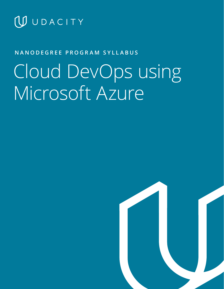

## **NANODEGREE PROGRAM SYLLABUS**

# Cloud DevOps using Microsoft Azure

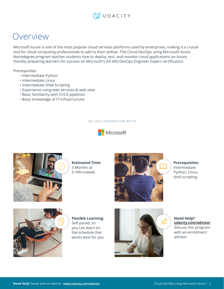## Overview

Microsoft Azure is one of the most popular cloud services platforms used by enterprises, making it a crucial tool for cloud computing professionals to add to their skillset. The Cloud DevOps using Microsoft Azure Nanodegree program teaches students how to deploy, test, and monitor cloud applications on Azure, thereby preparing learners for success on Microsoft's AZ-400 DevOps Engineer Expert certification.

Prerequisites:

- Intermediate Python
- Intermediate Linux
- Intermediate Shell Scripting
- Experience using web services & web sites
- Basic familiarity with CI/CD pipelines
- Basic knowledge of IT Infrastructure

### IN COLLABORATION WITH





**Estimated Time**: 3 Months at 5-10hrs/week



**Prerequisites**: Intermediate Python, Linux, shell scripting



**Flexible Learning**: Self-paced, so you can learn on the schedule that works best for you



**Need Help? [udacity.com/advisor](http://udacity.com/advisor)** Discuss this program with an enrollment advisor.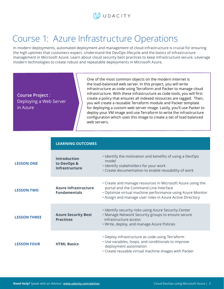## WUDACITY

## Course 1: Azure Infrastructure Operations

In modern deployments, automated deployment and management of cloud infrastructure is crucial for ensuring the high uptimes that customers expect. Understand the DevOps lifecycle and the basics of infrastructure management in Microsoft Azure. Learn about cloud security best practices to keep infrastructure secure. Leverage modern technologies to create robust and repeatable deployments in Microsoft Azure.

**Course Project** : Deploying a Web Server in Azure

One of the most common objects on the modern internet is the load-balanced web server. In this project, you will write infrastructure as code using Terraform and Packer to manage cloud infrastructure. With these infrastructure as code tools, you will first create a policy that ensures all indexed resources are tagged. Then, you will create a reusable Terraform module and Packer template for deploying a custom web server image. Lastly, you'll use Packer to deploy your VM image and use Terraform to write the infrastructure configuration which uses this image to create a set of load balanced web servers.

|                     | <b>LEARNING OUTCOMES</b>                                    |                                                                                                                                                                                                                               |
|---------------------|-------------------------------------------------------------|-------------------------------------------------------------------------------------------------------------------------------------------------------------------------------------------------------------------------------|
| <b>LESSON ONE</b>   | <b>Introduction</b><br>to DevOps &<br><b>Infrastructure</b> | . Identify the motivation and benefits of using a DevOps<br>model<br>· Identify stakeholders for your work<br>• Create documentation to enable reusability of work                                                            |
| <b>LESSON TWO</b>   | <b>Azure Infrastructure</b><br><b>Fundamentals</b>          | • Create and manage resources in Microsoft Azure using the<br>portal and the Command Line Interface<br>• Optimize virtual machine performance using Azure Monitor<br>. Assign and manage user roles in Azure Active Directory |
| <b>LESSON THREE</b> | <b>Azure Security Best</b><br><b>Practices</b>              | . Identify security risks using Azure Security Center<br>. Manage Network Security groups to ensure secure<br>infrastructure access<br>. Write, deploy, and manage Azure Policies                                             |
| <b>LESSON FOUR</b>  | <b>HTML Basics</b>                                          | • Deploy infrastructure as code using Terraform<br>• Use variables, loops, and conditionals to improve<br>deployment automation<br>• Create reusable virtual machine images with Packer                                       |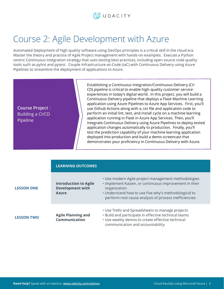## WUDACITY

## Course 2: Agile Development with Azure

Automated Deployment of high quality software using DevOps principles is a critical skill in the cloud era. Master the theory and practice of Agile Project management with hands-on examples. Execute a Python centric Continuous Integration strategy that uses testing best practices, including open source code quality tools such as pylint and pytest. Couple Infrastructure-as-Code (IaC) with Continuous Delivery using Azure Pipelines to streamline the deployment of applications to Azure.

**Course Project** : Building a CI/CD Pipeline

Establishing a Continuous Integration/Continuous Delivery (CI/ CD) pipeline is critical to enable high-quality customer service experiences in today's digital world. In this project, you will build a Continuous Delivery pipeline that deploys a Flask Machine Learning application using Azure Pipelines to Azure App Services. First, you'll use Github Actions along with a .txt file and application code to perform an initial lint, test, and install cycle on a machine learning application running in Flask in Azure App Services. Then, you'll integrate Continuous Delivery using Azure Pipelines to deploy tested application changes automatically to production. Finally, you'll test the prediction capability of your machine learning application deployed into production and build a demo screencast that demonstrates your proficiency in Continuous Delivery with Azure.

|                   | <b>LEARNING OUTCOMES</b>                                                |                                                                                                                                                                                                                                                |
|-------------------|-------------------------------------------------------------------------|------------------------------------------------------------------------------------------------------------------------------------------------------------------------------------------------------------------------------------------------|
| <b>LESSON ONE</b> | <b>Introduction to Agile</b><br><b>Development with</b><br><b>Azure</b> | • Use modern Agile project management methodologies<br>. Implement Kaizen, or continuous improvement in their<br>organization<br>• Understand how to use five why's methodological to<br>perform root cause analysis of process inefficiencies |
| <b>LESSON TWO</b> | <b>Agile Planning and</b><br><b>Communication</b>                       | • Use Trello and Spreadsheets to manage projects<br>. Build and participate in effective technical teams<br>• Use weekly demos to create effective technical<br>communication and accountability                                               |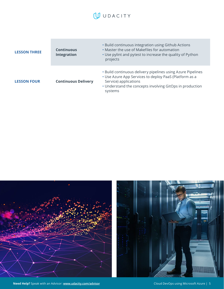| <b>LESSON THREE</b> | <b>Continuous</b><br><b>Integration</b> | • Build continuous integration using Github Actions<br>• Master the use of Makefiles for automation<br>• Use pylint and pytest to increase the quality of Python<br>projects                                          |
|---------------------|-----------------------------------------|-----------------------------------------------------------------------------------------------------------------------------------------------------------------------------------------------------------------------|
| <b>LESSON FOUR</b>  | <b>Continuous Delivery</b>              | . Build continuous delivery pipelines using Azure Pipelines<br>• Use Azure App Services to deploy PaaS (Platform as a<br>Service) applications<br>• Understand the concepts involving GitOps in production<br>systems |





**Need Help?** Speak with an Advisor: **[www.udacity.com/advisor](http://www.udacity.com/advisor)** Cloud DevOps using Microsoft Azure | 5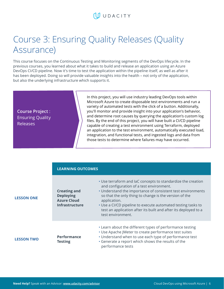## Course 3: Ensuring Quality Releases (Quality Assurance)

This course focuses on the Continuous Testing and Monitoring segments of the DevOps lifecycle. In the previous courses, you learned about what it takes to build and release an application using an Azure DevOps CI/CD pipeline. Now it's time to test the application within the pipeline itself, as well as after it has been deployed. Doing so will provide valuable insights into the health – not only of the application, but also the underlying infrastructure which supports it.

**Course Project** : Ensuring Quality Releases

In this project, you will use industry leading DevOps tools within Microsoft Azure to create disposable test environments and run a variety of automated tests with the click of a button. Additionally, you'll monitor and provide insight into your application's behavior, and determine root causes by querying the application's custom log files. By the end of this project, you will have built a CI/CD pipeline capable of creating a test environment using Terraform, deployed an application to the test environment, automatically executed load, integration, and functional tests, and ingested logs and data from those tests to determine where failures may have occurred.

|                   | <b>LEARNING OUTCOMES</b>                                                               |                                                                                                                                                                                                                                                                                                                                                                                                           |
|-------------------|----------------------------------------------------------------------------------------|-----------------------------------------------------------------------------------------------------------------------------------------------------------------------------------------------------------------------------------------------------------------------------------------------------------------------------------------------------------------------------------------------------------|
| <b>LESSON ONE</b> | <b>Creating and</b><br><b>Deploying</b><br><b>Azure Cloud</b><br><b>Infrastructure</b> | • Use terraform and IaC concepts to standardize the creation<br>and configuration of a test environment.<br>• Understand the importance of consistent test environments<br>so that the only thing to change is the version of the<br>application.<br>• Use a CI/CD pipeline to execute automated testing tasks to<br>test an application after its built and after its deployed to a<br>test environment. |
| <b>LESSON TWO</b> | <b>Performance</b><br><b>Testing</b>                                                   | • Learn about the different types of performance testing<br>• Use Apache JMeter to create performance test suites<br>• Understand when to use each type of performance test<br>• Generate a report which shows the results of the<br>performance tests                                                                                                                                                    |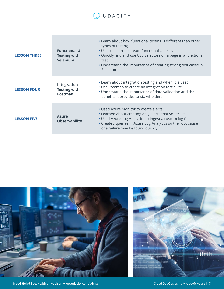| <b>LESSON THREE</b> | <b>Functional UI</b><br><b>Testing with</b><br><b>Selenium</b> | • Learn about how functional testing is different than other<br>types of testing<br>• Use selenium to create functional UI tests<br>• Quickly find and use CSS Selectors on a page in a functional<br>test<br>• Understand the importance of creating strong test cases in<br>Selenium |
|---------------------|----------------------------------------------------------------|----------------------------------------------------------------------------------------------------------------------------------------------------------------------------------------------------------------------------------------------------------------------------------------|
| <b>LESSON FOUR</b>  | <b>Integration</b><br><b>Testing with</b><br><b>Postman</b>    | • Learn about integration testing and when it is used<br>• Use Postman to create an integration test suite<br>• Understand the importance of data validation and the<br>benefits it provides to stakeholders                                                                           |
| <b>LESSON FIVE</b>  | <b>Azure</b><br><b>Observability</b>                           | • Used Azure Monitor to create alerts<br>• Learned about creating only alerts that you trust<br>• Used Azure Log Analytics to ingest a custom log file<br>• Created queries in Azure Log Analytics so the root cause<br>of a failure may be found quickly                              |



**Need Help?** Speak with an Advisor: **[www.udacity.com/advisor](http://www.udacity.com/advisor)** Cloud DevOps using Microsoft Azure | 7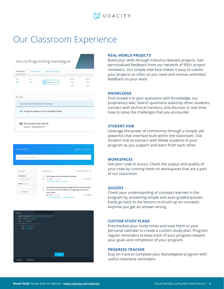## $\bigcup$  UDACITY

## Our Classroom Experience

| <b>OVERVIEW</b>   | <b>STUDY PLAN</b> | <b>HELP AND FAQS</b>                                                                      |                     |                     |
|-------------------|-------------------|-------------------------------------------------------------------------------------------|---------------------|---------------------|
| <b>STATT</b><br>ω | Lab'1<br>ධ        | Project 1 Jun 16                                                                          | Project 2<br>Jul 28 | Project 3<br>Aug 25 |
| To Do             |                   |                                                                                           |                     |                     |
|                   |                   | You've received some feedback on this project<br>Project 4: Improve Your LinkedIn Profile |                     |                     |

| Knowledge                                  |                                                                                                                                                                                | <b>DR</b> POST<br>$\Delta$ ACTIVITY |
|--------------------------------------------|--------------------------------------------------------------------------------------------------------------------------------------------------------------------------------|-------------------------------------|
| Search for your question<br>a              |                                                                                                                                                                                |                                     |
| E FILTER                                   | 1-20 of 202 results                                                                                                                                                            | SORT BY POPULAR                     |
| Nanodegree<br>Intro to Self-Driving  X \ \ | Error happens when launching car simulator<br>۸<br>$\mathbb{I}$<br>N. Jialun D 11 months ago<br>Intro to Self-Driving Cars Joy Ride                                            | 2 ANSWERS                           |
| Project (Optional)<br>SANCE).<br>٠         | I am having trouble masking an image with HSV. How do I do this,<br>۸<br>$\tilde{a}$<br>and I cannot find how to identify the ranges right to delete the<br>÷<br>green screen. |                                     |

| two.py                                  |            |
|-----------------------------------------|------------|
| import turtle<br>1                      |            |
| $\overline{z}$<br>amy = turtle.Turtle() |            |
| amy color green)<br>3.                  |            |
| 4" for side in (1, 2, 3, 4):            |            |
| 5<br>amy forward(100)                   |            |
| $\mathbf{6}$<br>amy right (90)          |            |
| $\overline{ }$                          |            |
|                                         |            |
|                                         |            |
|                                         |            |
|                                         |            |
|                                         |            |
|                                         |            |
|                                         |            |
|                                         |            |
|                                         | <b>RUN</b> |
|                                         |            |
| DExpand<br>$\wedge$ Menu                |            |

#### **REAL-WORLD PROJECTS**

Build your skills through industry-relevant projects. Get personalized feedback from our network of 900+ project reviewers. Our simple interface makes it easy to submit your projects as often as you need and receive unlimited feedback on your work.

### **KNOWLEDGE**

Find answers to your questions with Knowledge, our proprietary wiki. Search questions asked by other students, connect with technical mentors, and discover in real-time how to solve the challenges that you encounter.

#### **STUDENT HUB**

Leverage the power of community through a simple, yet powerful chat interface built within the classroom. Use Student Hub to connect with fellow students in your program as you support and learn from each other.

#### **WORKSPACES**

See your code in action. Check the output and quality of your code by running them on workspaces that are a part of our classroom.

#### **QUIZZES**

Check your understanding of concepts learned in the program by answering simple and auto-graded quizzes. Easily go back to the lessons to brush up on concepts anytime you get an answer wrong.

#### **CUSTOM STUDY PLANS**

Preschedule your study times and save them to your personal calendar to create a custom study plan. Program regular reminders to keep track of your progress toward your goals and completion of your program.

#### **PROGRESS TRACKER**

Stay on track to complete your Nanodegree program with useful milestone reminders.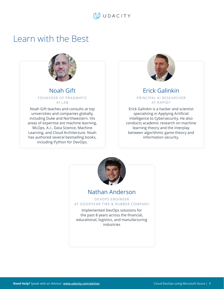## Learn with the Best



## Noah Gift FOUNVDER OF PRAGMATIC AI LAB

Noah Gift teaches and consults at top universities and companies globally, including Duke and Northwestern. His areas of expertise are machine learning, MLOps, A.I., Data Science, Machine Learning, and Cloud Architecture. Noah has authored several bestselling books, including Python for DevOps.



## Erick Galinkin

## PRINCIPAL AI RESEARCHER AT RAPID7

Erick Galinkin is a hacker and scientist specializing in Applying Artificial Intelligence to Cybersecurity. He also conducts academic research on machine learning theory and the interplay between algorithmic game theory and information security.



## Nathan Anderson

DEVOPS ENGINEER AT GOODYEAR TIRE & RUBBER COMPANY

Implemented DevOps solutions for the past 8 years across the financial, educational, logistics, and manufacturing industries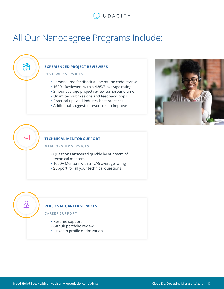## All Our Nanodegree Programs Include:



### **REVIEWER SERVICES**

සි

 $\Sigma$ 

 $\beta$ 

- Personalized feedback & line by line code reviews
- 1600+ Reviewers with a 4.85/5 average rating
- 3 hour average project review turnaround time
- Unlimited submissions and feedback loops
- Practical tips and industry best practices
- Additional suggested resources to improve



## **TECHNICAL MENTOR SUPPORT**

#### **MENTORSHIP SERVICES**

- Questions answered quickly by our team of technical mentors
- 1000+ Mentors with a 4.7/5 average rating
- Support for all your technical questions

### **PERSONAL CAREER SERVICES**

### CAREER SUPPORT

- Resume support
- Github portfolio review
- LinkedIn profile optimization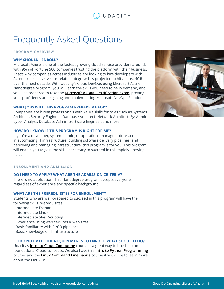## Frequently Asked Questions

**PROGRAM OVERVIEW**

## **WHY SHOULD I ENROLL?**

Microsoft Azure is one of the fastest growing cloud service providers around, with 95% of Fortune 500 companies trusting the platform with their business. That's why companies across industries are looking to hire developers with Azure expertise, as Azure-related job growth is projected to hit almost 40% over the next decade. With Udacity's Cloud DevOps using Microsoft Azure Nanodegree program, you will learn the skills you need to be in demand, and you'll be prepared to take the **[Microsoft AZ-400 Certification exam](https://docs.microsoft.com/en-us/learn/certifications/exams/az-400)**, proving your proficiency at designing and implementing Microsoft DevOps Solutions.

### **WHAT JOBS WILL THIS PROGRAM PREPARE ME FOR?**

Companies are hiring professionals with Azure skills for roles such as Systems Architect, Security Engineer, Database Architect, Network Architect, SysAdmin, Cyber Analyst, Database Admin, Software Engineer, and more.

### **HOW DO I KNOW IF THIS PROGRAM IS RIGHT FOR ME?**

If you're a developer, system admin, or operations manager interested in automating IT infrastructure, building software delivery pipelines, and deploying and managing infrastructure, this program is for you. This program will enable you to gain the skills necessary to succeed in this rapidly-growing field.

### **ENROLLMENT AND ADMISSION**

### **DO I NEED TO APPLY? WHAT ARE THE ADMISSION CRITERIA?**

There is no application. This Nanodegree program accepts everyone, regardless of experience and specific background.

### **WHAT ARE THE PREREQUISITES FOR ENROLLMENT?**

Students who are well-prepared to succeed in this program will have the following skills/prerequisites:

- Intermediate Python
- Intermediate Linux
- Intermediate Shell Scripting
- Experience using web services & web sites
- Basic familiarity with CI/CD pipelines
- Basic knowledge of IT Infrastructure

## **IF I DO NOT MEET THE REQUIREMENTS TO ENROLL, WHAT SHOULD I DO?**

Udacity's **[Intro to Cloud Computing](https://www.udacity.com/course/intro-to-cloud-computing--ud080)** course is a great way to brush up on foundational Cloud concepts. We also have this **[Intro to Python Programming](https://www.udacity.com/course/introduction-to-python--ud1110)** course, and the **[Linux Command Line Basics](https://www.udacity.com/course/linux-command-line-basics--ud595)** course if you'd like to learn more about the Linux OS.